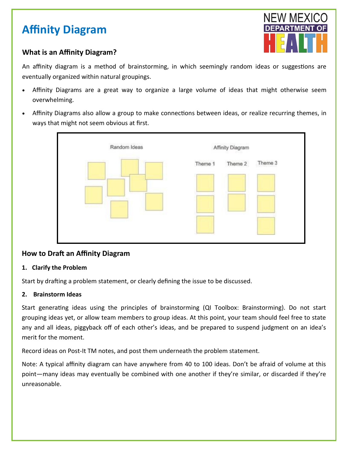# **Affinity Diagram**

# **What is an Affinity Diagram?**

An affinity diagram is a method of brainstorming, in which seemingly random ideas or suggestions are eventually organized within natural groupings.

- Affinity Diagrams are a great way to organize a large volume of ideas that might otherwise seem overwhelming.
- Affinity Diagrams also allow a group to make connections between ideas, or realize recurring themes, in ways that might not seem obvious at first.



# **How to Draft an Affinity Diagram**

## **1. Clarify the Problem**

Start by drafting a problem statement, or clearly defining the issue to be discussed.

## **2. Brainstorm Ideas**

Start generating ideas using the principles of brainstorming (QI Toolbox: Brainstorming). Do not start grouping ideas yet, or allow team members to group ideas. At this point, your team should feel free to state any and all ideas, piggyback off of each other's ideas, and be prepared to suspend judgment on an idea's merit for the moment.

Record ideas on Post-It TM notes, and post them underneath the problem statement.

Note: A typical affinity diagram can have anywhere from 40 to 100 ideas. Don't be afraid of volume at this point—many ideas may eventually be combined with one another if they're similar, or discarded if they're unreasonable.